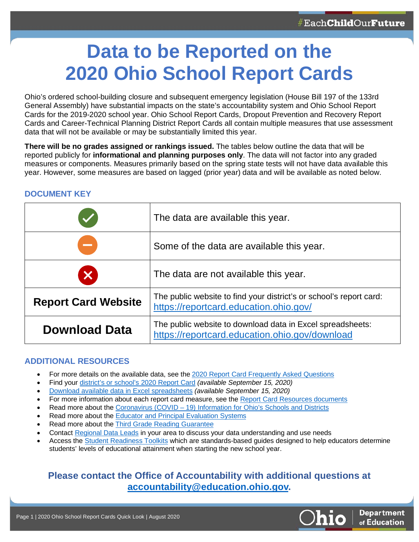# **Data to be Reported on the 2020 Ohio School Report Cards**

Ohio's ordered school-building closure and subsequent emergency legislation (House Bill 197 of the 133rd General Assembly) have substantial impacts on the state's accountability system and Ohio School Report Cards for the 2019-2020 school year. Ohio School Report Cards, Dropout Prevention and Recovery Report Cards and Career-Technical Planning District Report Cards all contain multiple measures that use assessment data that will not be available or may be substantially limited this year.

**There will be no grades assigned or rankings issued.** The tables below outline the data that will be reported publicly for **informational and planning purposes only**. The data will not factor into any graded measures or components. Measures primarily based on the spring state tests will not have data available this year. However, some measures are based on lagged (prior year) data and will be available as noted below.

|                            | The data are available this year.                                                                             |
|----------------------------|---------------------------------------------------------------------------------------------------------------|
| --                         | Some of the data are available this year.                                                                     |
|                            | The data are not available this year.                                                                         |
| <b>Report Card Website</b> | The public website to find your district's or school's report card:<br>https://reportcard.education.ohio.gov/ |
| <b>Download Data</b>       | The public website to download data in Excel spreadsheets:<br>https://reportcard.education.ohio.gov/download  |

### **DOCUMENT KEY**

### **ADDITIONAL RESOURCES**

- For more details on the available data, see th[e 2020 Report Card Frequently Asked Questions](http://education.ohio.gov/Topics/Data/Report-Card-Resources/FAQ)
- Find your [district's or school's 2020](https://reportcard.education.ohio.gov/) Report Card *(available September 15, 2020)*
- [Download available data in Excel spreadsheets](https://reportcard.education.ohio.gov/download) *(available September 15, 2020)*
- For more information about each report card measure, see the [Report Card Resources documents](http://education.ohio.gov/Topics/Data/Report-Card-Resources)
- Read more about the Coronavirus (COVID [19\) Information for Ohio's Schools and Districts](http://education.ohio.gov/Topics/Student-Supports/Coronavirus)
- Read more about th[e Educator and Principal Evaluation Systems](http://education.ohio.gov/Topics/Reset-and-Restart/Educator-Evaluation-Systems)
- Read more about th[e Third Grade Reading Guarantee](http://education.ohio.gov/Topics/Student-Supports/Coronavirus/Third-Grade-Reading-Guarantee)
- Contact [Regional Data Leads](http://education.ohio.gov/Topics/District-and-School-Continuous-Improvement/Regional-Data-Leads) in your area to discuss your data understanding and use needs
- Access th[e Student Readiness Toolkits](http://education.ohio.gov/Topics/Reset-and-Restart/Student-Readiness-Toolkit) which are standards-based guides designed to help educators determine students' levels of educational attainment when starting the new school year.

### **Please contact the Office of Accountability with additional questions at [accountability@education.ohio.gov.](mailto:accountability@education.ohio.gov)**

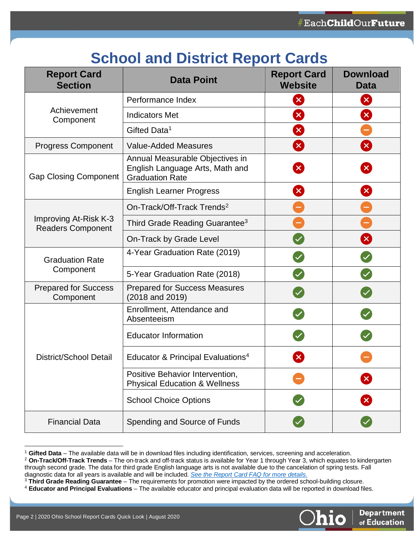## **School and District Report Cards**

| <b>Report Card</b><br><b>Section</b>              | <b>Data Point</b>                                                                            | <b>Report Card</b><br><b>Website</b> | <b>Download</b><br><b>Data</b> |
|---------------------------------------------------|----------------------------------------------------------------------------------------------|--------------------------------------|--------------------------------|
| Achievement<br>Component                          | Performance Index                                                                            | $\mathbf{x}$                         | $\mathbf{x}$                   |
|                                                   | <b>Indicators Met</b>                                                                        | X                                    | X                              |
|                                                   | Gifted Data <sup>1</sup>                                                                     | $\mathbf{x}$                         |                                |
| <b>Progress Component</b>                         | <b>Value-Added Measures</b>                                                                  | $\mathbf{x}$                         | $\mathbf{x}$                   |
| <b>Gap Closing Component</b>                      | Annual Measurable Objectives in<br>English Language Arts, Math and<br><b>Graduation Rate</b> | $\boldsymbol{\mathsf{x}}$            | $\mathbf{x}$                   |
|                                                   | <b>English Learner Progress</b>                                                              | $\mathbf{x}$                         | X                              |
|                                                   | On-Track/Off-Track Trends <sup>2</sup>                                                       |                                      |                                |
| Improving At-Risk K-3<br><b>Readers Component</b> | Third Grade Reading Guarantee <sup>3</sup>                                                   |                                      |                                |
|                                                   | On-Track by Grade Level                                                                      |                                      | $\mathbf{x}$                   |
| <b>Graduation Rate</b><br>Component               | 4-Year Graduation Rate (2019)                                                                |                                      |                                |
|                                                   | 5-Year Graduation Rate (2018)                                                                |                                      |                                |
| <b>Prepared for Success</b><br>Component          | <b>Prepared for Success Measures</b><br>(2018 and 2019)                                      |                                      |                                |
| <b>District/School Detail</b>                     | Enrollment, Attendance and<br>Absenteeism                                                    |                                      |                                |
|                                                   | <b>Educator Information</b>                                                                  |                                      |                                |
|                                                   | Educator & Principal Evaluations <sup>4</sup>                                                |                                      |                                |
|                                                   | Positive Behavior Intervention,<br><b>Physical Education &amp; Wellness</b>                  |                                      | $\vert \mathsf{X} \vert$       |
|                                                   | <b>School Choice Options</b>                                                                 |                                      | 2                              |
| <b>Financial Data</b>                             | Spending and Source of Funds                                                                 |                                      |                                |

<span id="page-1-0"></span><sup>&</sup>lt;sup>1</sup> Gifted Data – The available data will be in download files including identification, services, screening and acceleration.<br><sup>2</sup> On-Track/Off-Track Trends – The on-track and off-track status is available for Year 1 throu

<span id="page-1-3"></span><span id="page-1-2"></span><sup>4</sup> Educator and Principal Evaluations - The available educator and principal evaluation data will be reported in download files.



<span id="page-1-1"></span>through second grade. The data for third grade English language arts is not available due to the cancelation of spring tests. Fall

diagnostic data for all years is available and will be included. *[See the Report Card FAQ for more details.](http://education.ohio.gov/Topics/Data/Report-Card-Resources/FAQ)*<br><sup>3</sup> Third Grade Reading Guarantee – The requirements for promotion were impacted by the ordered school-building c